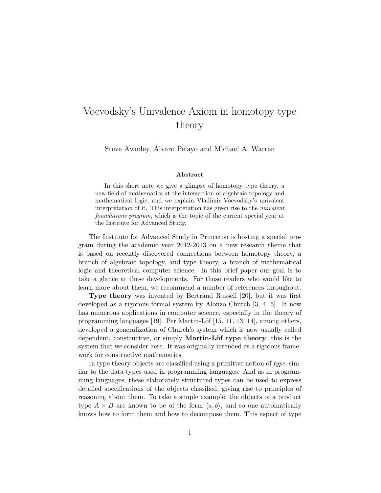# Voevodsky's Univalence Axiom in homotopy type theory

Steve Awodey, Alvaro Pelayo and Michael A. Warren ´

#### Abstract

In this short note we give a glimpse of homotopy type theory, a new field of mathematics at the intersection of algebraic topology and mathematical logic, and we explain Vladimir Voevodsky's univalent interpretation of it. This interpretation has given rise to the univalent foundations program, which is the topic of the current special year at the Institute for Advanced Study.

The Institute for Advanced Study in Princeton is hosting a special program during the academic year 2012-2013 on a new research theme that is based on recently discovered connections between homotopy theory, a branch of algebraic topology, and type theory, a branch of mathematical logic and theoretical computer science. In this brief paper our goal is to take a glance at these developments. For those readers who would like to learn more about them, we recommend a number of references throughout.

Type theory was invented by Bertrand Russell [20], but it was first developed as a rigorous formal system by Alonzo Church [3, 4, 5]. It now has numerous applications in computer science, especially in the theory of programming languages  $[19]$ . Per Martin-Löf  $[15, 11, 13, 14]$ , among others, developed a generalization of Church's system which is now usually called dependent, constructive, or simply **Martin-Löf type theory**; this is the system that we consider here. It was originally intended as a rigorous framework for constructive mathematics.

In type theory objects are classified using a primitive notion of  $type$ , similar to the data-types used in programming languages. And as in programming languages, these elaborately structured types can be used to express detailed specifications of the objects classified, giving rise to principles of reasoning about them. To take a simple example, the objects of a product type  $A \times B$  are known to be of the form  $\langle a, b \rangle$ , and so one automatically knows how to form them and how to decompose them. This aspect of type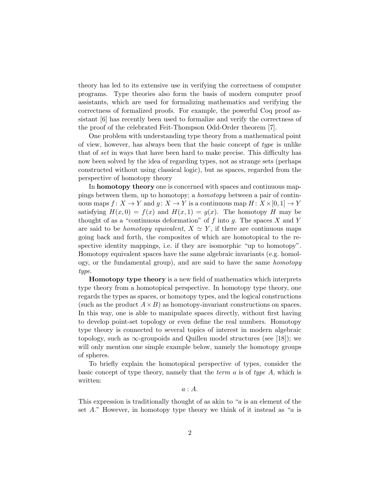theory has led to its extensive use in verifying the correctness of computer programs. Type theories also form the basis of modern computer proof assistants, which are used for formalizing mathematics and verifying the correctness of formalized proofs. For example, the powerful Coq proof assistant [6] has recently been used to formalize and verify the correctness of the proof of the celebrated Feit-Thompson Odd-Order theorem [7].

One problem with understanding type theory from a mathematical point of view, however, has always been that the basic concept of type is unlike that of set in ways that have been hard to make precise. This difficulty has now been solved by the idea of regarding types, not as strange sets (perhaps constructed without using classical logic), but as spaces, regarded from the perspective of homotopy theory

In **homotopy theory** one is concerned with spaces and continuous mappings between them, up to homotopy; a homotopy between a pair of continuous maps  $f: X \to Y$  and  $g: X \to Y$  is a continuous map  $H: X \times [0, 1] \to Y$ satisfying  $H(x, 0) = f(x)$  and  $H(x, 1) = g(x)$ . The homotopy H may be thought of as a "continuous deformation" of f into g. The spaces X and Y are said to be *homotopy equivalent*,  $X \simeq Y$ , if there are continuous maps going back and forth, the composites of which are homotopical to the respective identity mappings, i.e. if they are isomorphic "up to homotopy". Homotopy equivalent spaces have the same algebraic invariants (e.g. homology, or the fundamental group), and are said to have the same homotopy type.

Homotopy type theory is a new field of mathematics which interprets type theory from a homotopical perspective. In homotopy type theory, one regards the types as spaces, or homotopy types, and the logical constructions (such as the product  $A \times B$ ) as homotopy-invariant constructions on spaces. In this way, one is able to manipulate spaces directly, without first having to develop point-set topology or even define the real numbers. Homotopy type theory is connected to several topics of interest in modern algebraic topology, such as  $\infty$ -groupoids and Quillen model structures (see [18]); we will only mention one simple example below, namely the homotopy groups of spheres.

To briefly explain the homotopical perspective of types, consider the basic concept of type theory, namely that the *term*  $\alpha$  is of type  $\ddot{A}$ , which is written:

 $a : A$ .

This expression is traditionally thought of as akin to "a is an element of the set  $A$ ." However, in homotopy type theory we think of it instead as "a is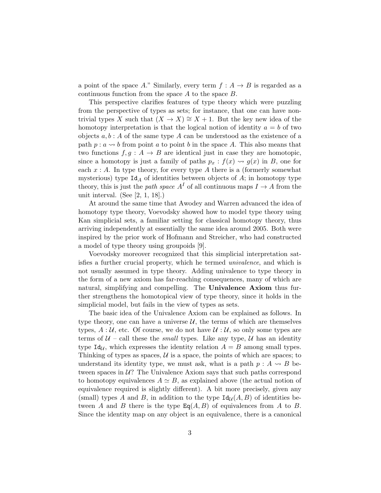a point of the space A." Similarly, every term  $f : A \rightarrow B$  is regarded as a continuous function from the space  $A$  to the space  $B$ .

This perspective clarifies features of type theory which were puzzling from the perspective of types as sets; for instance, that one can have nontrivial types X such that  $(X \to X) \cong X + 1$ . But the key new idea of the homotopy interpretation is that the logical notion of identity  $a = b$  of two objects  $a, b : A$  of the same type A can be understood as the existence of a path  $p : a \rightarrow b$  from point a to point b in the space A. This also means that two functions  $f, g: A \to B$  are identical just in case they are homotopic, since a homotopy is just a family of paths  $p_x : f(x) \rightarrow g(x)$  in B, one for each  $x : A$ . In type theory, for every type A there is a (formerly somewhat mysterious) type  $Id_A$  of identities between objects of A; in homotopy type theory, this is just the *path space*  $A<sup>I</sup>$  of all continuous maps  $I \to A$  from the unit interval. (See [2, 1, 18].)

At around the same time that Awodey and Warren advanced the idea of homotopy type theory, Voevodsky showed how to model type theory using Kan simplicial sets, a familiar setting for classical homotopy theory, thus arriving independently at essentially the same idea around 2005. Both were inspired by the prior work of Hofmann and Streicher, who had constructed a model of type theory using groupoids [9].

Voevodsky moreover recognized that this simplicial interpretation satisfies a further crucial property, which he termed univalence, and which is not usually assumed in type theory. Adding univalence to type theory in the form of a new axiom has far-reaching consequences, many of which are natural, simplifying and compelling. The Univalence Axiom thus further strengthens the homotopical view of type theory, since it holds in the simplicial model, but fails in the view of types as sets.

The basic idea of the Univalence Axiom can be explained as follows. In type theory, one can have a universe  $\mathcal{U}$ , the terms of which are themselves types,  $A: \mathcal{U}$ , etc. Of course, we do not have  $\mathcal{U} : \mathcal{U}$ , so only some types are terms of  $U$  – call these the *small* types. Like any type,  $U$  has an identity type  $Id_{\mathcal{U}}$ , which expresses the identity relation  $A = B$  among small types. Thinking of types as spaces,  $U$  is a space, the points of which are spaces; to understand its identity type, we must ask, what is a path  $p : A \rightarrow B$  between spaces in  $U$ ? The Univalence Axiom says that such paths correspond to homotopy equivalences  $A \simeq B$ , as explained above (the actual notion of equivalence required is slightly different). A bit more precisely, given any (small) types A and B, in addition to the type  $\text{Id}_{\mathcal{U}}(A, B)$  of identities between A and B there is the type  $Eq(A, B)$  of equivalences from A to B. Since the identity map on any object is an equivalence, there is a canonical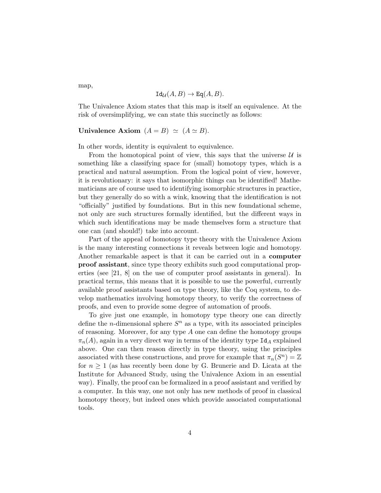map,

$$
\mathrm{Id}_{\mathcal{U}}(A,B)\to \mathrm{Eq}(A,B).
$$

The Univalence Axiom states that this map is itself an equivalence. At the risk of oversimplifying, we can state this succinctly as follows:

Univalence Axiom  $(A = B) \simeq (A \simeq B)$ .

In other words, identity is equivalent to equivalence.

From the homotopical point of view, this says that the universe  $\mathcal U$  is something like a classifying space for (small) homotopy types, which is a practical and natural assumption. From the logical point of view, however, it is revolutionary: it says that isomorphic things can be identified! Mathematicians are of course used to identifying isomorphic structures in practice, but they generally do so with a wink, knowing that the identification is not "officially" justified by foundations. But in this new foundational scheme, not only are such structures formally identified, but the different ways in which such identifications may be made themselves form a structure that one can (and should!) take into account.

Part of the appeal of homotopy type theory with the Univalence Axiom is the many interesting connections it reveals between logic and homotopy. Another remarkable aspect is that it can be carried out in a computer proof assistant, since type theory exhibits such good computational properties (see [21, 8] on the use of computer proof assistants in general). In practical terms, this means that it is possible to use the powerful, currently available proof assistants based on type theory, like the Coq system, to develop mathematics involving homotopy theory, to verify the correctness of proofs, and even to provide some degree of automation of proofs.

To give just one example, in homotopy type theory one can directly define the *n*-dimensional sphere  $S<sup>n</sup>$  as a type, with its associated principles of reasoning. Moreover, for any type  $A$  one can define the homotopy groups  $\pi_n(A)$ , again in a very direct way in terms of the identity type  $\text{Id}_A$  explained above. One can then reason directly in type theory, using the principles associated with these constructions, and prove for example that  $\pi_n(S^n) = \mathbb{Z}$ for  $n \geq 1$  (as has recently been done by G. Brunerie and D. Licata at the Institute for Advanced Study, using the Univalence Axiom in an essential way). Finally, the proof can be formalized in a proof assistant and verified by a computer. In this way, one not only has new methods of proof in classical homotopy theory, but indeed ones which provide associated computational tools.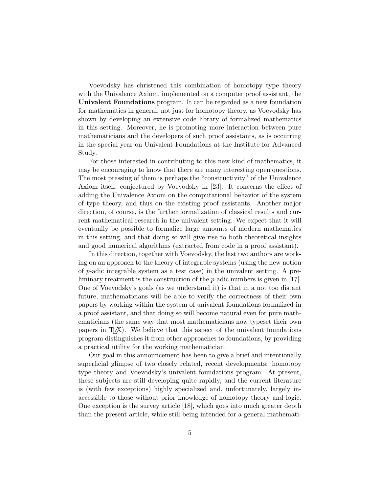Voevodsky has christened this combination of homotopy type theory with the Univalence Axiom, implemented on a computer proof assistant, the Univalent Foundations program. It can be regarded as a new foundation for mathematics in general, not just for homotopy theory, as Voevodsky has shown by developing an extensive code library of formalized mathematics in this setting. Moreover, he is promoting more interaction between pure mathematicians and the developers of such proof assistants, as is occurring in the special year on Univalent Foundations at the Institute for Advanced Study.

For those interested in contributing to this new kind of mathematics, it may be encouraging to know that there are many interesting open questions. The most pressing of them is perhaps the "constructivity" of the Univalence Axiom itself, conjectured by Voevodsky in [23]. It concerns the effect of adding the Univalence Axiom on the computational behavior of the system of type theory, and thus on the existing proof assistants. Another major direction, of course, is the further formalization of classical results and current mathematical research in the univalent setting. We expect that it will eventually be possible to formalize large amounts of modern mathematics in this setting, and that doing so will give rise to both theoretical insights and good numerical algorithms (extracted from code in a proof assistant).

In this direction, together with Voevodsky, the last two authors are working on an approach to the theory of integrable systems (using the new notion of p-adic integrable system as a test case) in the univalent setting. A preliminary treatment is the construction of the  $p$ -adic numbers is given in [17]. One of Voevodsky's goals (as we understand it) is that in a not too distant future, mathematicians will be able to verify the correctness of their own papers by working within the system of univalent foundations formalized in a proof assistant, and that doing so will become natural even for pure mathematicians (the same way that most mathematicians now typeset their own papers in TEX). We believe that this aspect of the univalent foundations program distinguishes it from other approaches to foundations, by providing a practical utility for the working mathematician.

Our goal in this announcement has been to give a brief and intentionally superficial glimpse of two closely related, recent developments: homotopy type theory and Voevodsky's univalent foundations program. At present, these subjects are still developing quite rapidly, and the current literature is (with few exceptions) highly specialized and, unfortunately, largely inaccessible to those without prior knowledge of homotopy theory and logic. One exception is the survey article [18], which goes into much greater depth than the present article, while still being intended for a general mathemati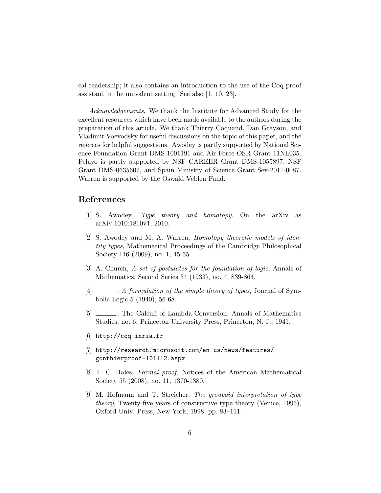cal readership; it also contains an introduction to the use of the Coq proof assistant in the univalent setting. See also [1, 10, 23].

Acknowledgements. We thank the Institute for Advanced Study for the excellent resources which have been made available to the authors during the preparation of this article. We thank Thierry Coquand, Dan Grayson, and Vladimir Voevodsky for useful discussions on the topic of this paper, and the referees for helpful suggestions. Awodey is partly supported by National Science Foundation Grant DMS-1001191 and Air Force OSR Grant 11NL035. Pelayo is partly supported by NSF CAREER Grant DMS-1055897, NSF Grant DMS-0635607, and Spain Ministry of Science Grant Sev-2011-0087. Warren is supported by the Oswald Veblen Fund.

## References

- [1] S. Awodey, Type theory and homotopy. On the arXiv as arXiv:1010:1810v1, 2010.
- [2] S. Awodey and M. A. Warren, Homotopy theoretic models of identity types, Mathematical Proceedings of the Cambridge Philosophical Society 146 (2009), no. 1, 45-55.
- [3] A. Church, A set of postulates for the foundation of logic, Annals of Mathematics. Second Series 34 (1933), no. 4, 839-864.
- [4]  $\Box$ , A formulation of the simple theory of types, Journal of Symbolic Logic 5 (1940), 56-68.
- [5] \_\_\_\_\_\_, The Calculi of Lambda-Conversion, Annals of Mathematics Studies, no. 6, Princeton University Press, Princeton, N. J., 1941.
- [6] http://coq.inria.fr
- [7] http://research.microsoft.com/en-us/news/features/ gonthierproof-101112.aspx
- [8] T. C. Hales, Formal proof, Notices of the American Mathematical Society 55 (2008), no. 11, 1370-1380.
- [9] M. Hofmann and T. Streicher, The groupoid interpretation of type theory, Twenty-five years of constructive type theory (Venice, 1995), Oxford Univ. Press, New York, 1998, pp. 83–111.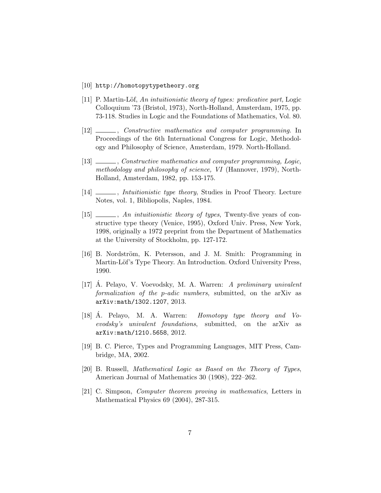- [10] http://homotopytypetheory.org
- [11] P. Martin-Löf, An intuitionistic theory of types: predicative part, Logic Colloquium '73 (Bristol, 1973), North-Holland, Amsterdam, 1975, pp. 73-118. Studies in Logic and the Foundations of Mathematics, Vol. 80.
- [12] , Constructive mathematics and computer programming. In Proceedings of the 6th International Congress for Logic, Methodology and Philosophy of Science, Amsterdam, 1979. North-Holland.
- [13] , Constructive mathematics and computer programming, Logic, methodology and philosophy of science, VI (Hannover, 1979), North-Holland, Amsterdam, 1982, pp. 153-175.
- [14]  $\_\_\_\_\_\$ , *Intuitionistic type theory*, Studies in Proof Theory. Lecture Notes, vol. 1, Bibliopolis, Naples, 1984.
- $[15]$   $\_\_\_\_\_$ , An intuitionistic theory of types, Twenty-five years of constructive type theory (Venice, 1995), Oxford Univ. Press, New York, 1998, originally a 1972 preprint from the Department of Mathematics at the University of Stockholm, pp. 127-172.
- [16] B. Nordström, K. Petersson, and J. M. Smith: Programming in Martin-Löf's Type Theory. An Introduction. Oxford University Press, 1990.
- $[17]$  A. Pelayo, V. Voevodsky, M. A. Warren: A preliminary univalent formalization of the p-adic numbers, submitted, on the arXiv as arXiv:math/1302.1207, 2013.
- [18] A. Pelayo, M. A. Warren: *Homotopy type theory and Vo*evodsky's univalent foundations, submitted, on the arXiv as arXiv:math/1210.5658, 2012.
- [19] B. C. Pierce, Types and Programming Languages, MIT Press, Cambridge, MA, 2002.
- [20] B. Russell, Mathematical Logic as Based on the Theory of Types, American Journal of Mathematics 30 (1908), 222–262.
- [21] C. Simpson, Computer theorem proving in mathematics, Letters in Mathematical Physics 69 (2004), 287-315.